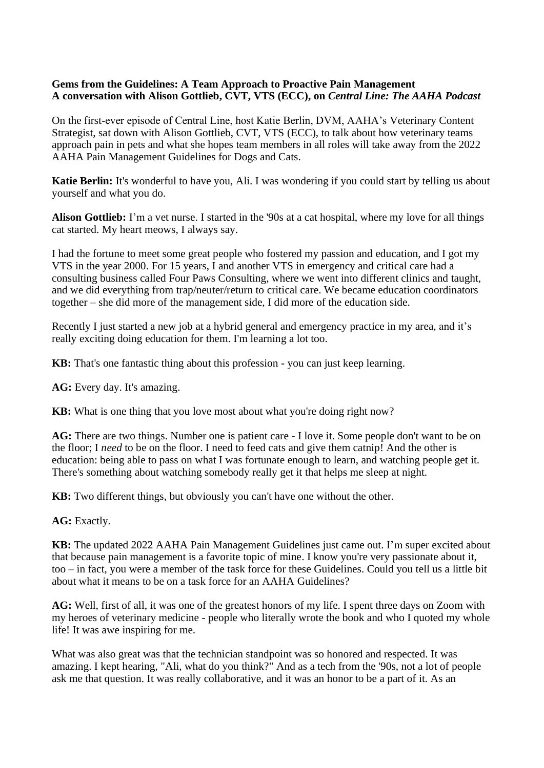## **Gems from the Guidelines: A Team Approach to Proactive Pain Management A conversation with Alison Gottlieb, CVT, VTS (ECC), on** *Central Line: The AAHA Podcast*

On the first-ever episode of Central Line, host Katie Berlin, DVM, AAHA's Veterinary Content Strategist, sat down with Alison Gottlieb, CVT, VTS (ECC), to talk about how veterinary teams approach pain in pets and what she hopes team members in all roles will take away from the 2022 AAHA Pain Management Guidelines for Dogs and Cats.

**Katie Berlin:** It's wonderful to have you, Ali. I was wondering if you could start by telling us about yourself and what you do.

**Alison Gottlieb:** I'm a vet nurse. I started in the '90s at a cat hospital, where my love for all things cat started. My heart meows, I always say.

I had the fortune to meet some great people who fostered my passion and education, and I got my VTS in the year 2000. For 15 years, I and another VTS in emergency and critical care had a consulting business called Four Paws Consulting, where we went into different clinics and taught, and we did everything from trap/neuter/return to critical care. We became education coordinators together – she did more of the management side, I did more of the education side.

Recently I just started a new job at a hybrid general and emergency practice in my area, and it's really exciting doing education for them. I'm learning a lot too.

**KB:** That's one fantastic thing about this profession - you can just keep learning.

**AG:** Every day. It's amazing.

**KB:** What is one thing that you love most about what you're doing right now?

**AG:** There are two things. Number one is patient care - I love it. Some people don't want to be on the floor; I *need* to be on the floor. I need to feed cats and give them catnip! And the other is education: being able to pass on what I was fortunate enough to learn, and watching people get it. There's something about watching somebody really get it that helps me sleep at night.

**KB:** Two different things, but obviously you can't have one without the other.

**AG:** Exactly.

**KB:** The updated 2022 AAHA Pain Management Guidelines just came out. I'm super excited about that because pain management is a favorite topic of mine. I know you're very passionate about it, too – in fact, you were a member of the task force for these Guidelines. Could you tell us a little bit about what it means to be on a task force for an AAHA Guidelines?

**AG:** Well, first of all, it was one of the greatest honors of my life. I spent three days on Zoom with my heroes of veterinary medicine - people who literally wrote the book and who I quoted my whole life! It was awe inspiring for me.

What was also great was that the technician standpoint was so honored and respected. It was amazing. I kept hearing, "Ali, what do you think?" And as a tech from the '90s, not a lot of people ask me that question. It was really collaborative, and it was an honor to be a part of it. As an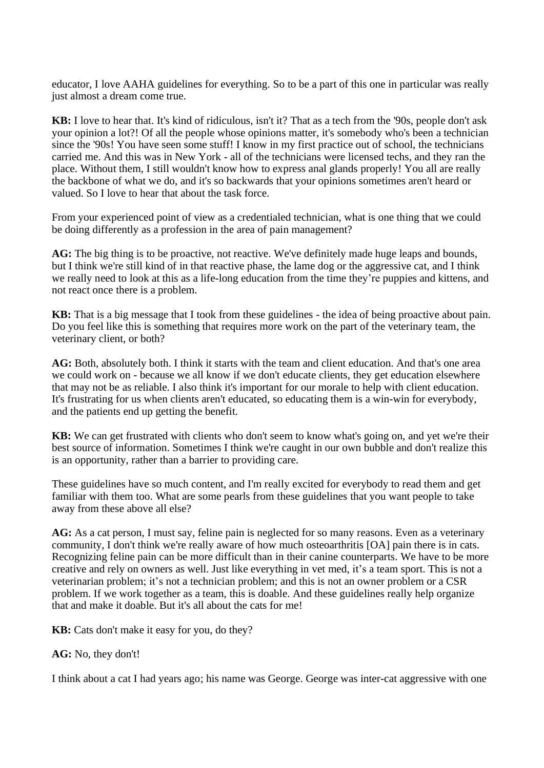educator, I love AAHA guidelines for everything. So to be a part of this one in particular was really just almost a dream come true.

**KB:** I love to hear that. It's kind of ridiculous, isn't it? That as a tech from the '90s, people don't ask your opinion a lot?! Of all the people whose opinions matter, it's somebody who's been a technician since the '90s! You have seen some stuff! I know in my first practice out of school, the technicians carried me. And this was in New York - all of the technicians were licensed techs, and they ran the place. Without them, I still wouldn't know how to express anal glands properly! You all are really the backbone of what we do, and it's so backwards that your opinions sometimes aren't heard or valued. So I love to hear that about the task force.

From your experienced point of view as a credentialed technician, what is one thing that we could be doing differently as a profession in the area of pain management?

AG: The big thing is to be proactive, not reactive. We've definitely made huge leaps and bounds, but I think we're still kind of in that reactive phase, the lame dog or the aggressive cat, and I think we really need to look at this as a life-long education from the time they're puppies and kittens, and not react once there is a problem.

**KB:** That is a big message that I took from these guidelines - the idea of being proactive about pain. Do you feel like this is something that requires more work on the part of the veterinary team, the veterinary client, or both?

**AG:** Both, absolutely both. I think it starts with the team and client education. And that's one area we could work on - because we all know if we don't educate clients, they get education elsewhere that may not be as reliable. I also think it's important for our morale to help with client education. It's frustrating for us when clients aren't educated, so educating them is a win-win for everybody, and the patients end up getting the benefit.

**KB:** We can get frustrated with clients who don't seem to know what's going on, and yet we're their best source of information. Sometimes I think we're caught in our own bubble and don't realize this is an opportunity, rather than a barrier to providing care.

These guidelines have so much content, and I'm really excited for everybody to read them and get familiar with them too. What are some pearls from these guidelines that you want people to take away from these above all else?

**AG:** As a cat person, I must say, feline pain is neglected for so many reasons. Even as a veterinary community, I don't think we're really aware of how much osteoarthritis [OA] pain there is in cats. Recognizing feline pain can be more difficult than in their canine counterparts. We have to be more creative and rely on owners as well. Just like everything in vet med, it's a team sport. This is not a veterinarian problem; it's not a technician problem; and this is not an owner problem or a CSR problem. If we work together as a team, this is doable. And these guidelines really help organize that and make it doable. But it's all about the cats for me!

**KB:** Cats don't make it easy for you, do they?

## **AG:** No, they don't!

I think about a cat I had years ago; his name was George. George was inter-cat aggressive with one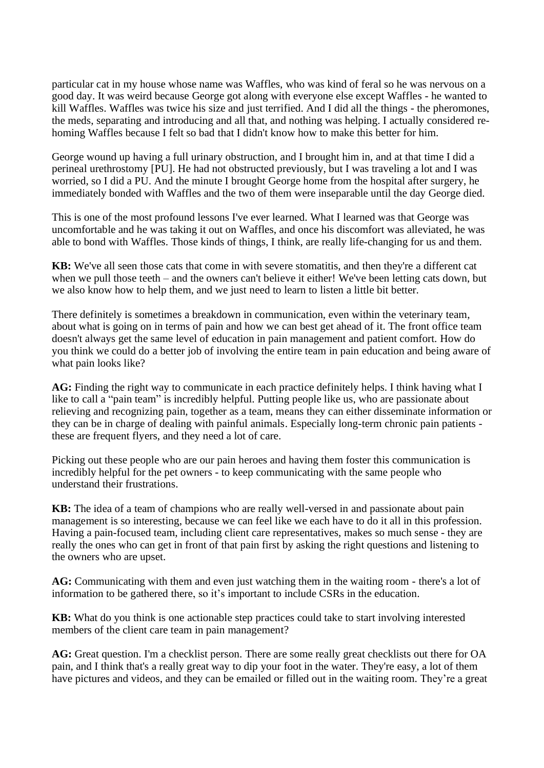particular cat in my house whose name was Waffles, who was kind of feral so he was nervous on a good day. It was weird because George got along with everyone else except Waffles - he wanted to kill Waffles. Waffles was twice his size and just terrified. And I did all the things - the pheromones, the meds, separating and introducing and all that, and nothing was helping. I actually considered rehoming Waffles because I felt so bad that I didn't know how to make this better for him.

George wound up having a full urinary obstruction, and I brought him in, and at that time I did a perineal urethrostomy [PU]. He had not obstructed previously, but I was traveling a lot and I was worried, so I did a PU. And the minute I brought George home from the hospital after surgery, he immediately bonded with Waffles and the two of them were inseparable until the day George died.

This is one of the most profound lessons I've ever learned. What I learned was that George was uncomfortable and he was taking it out on Waffles, and once his discomfort was alleviated, he was able to bond with Waffles. Those kinds of things, I think, are really life-changing for us and them.

**KB:** We've all seen those cats that come in with severe stomatitis, and then they're a different cat when we pull those teeth – and the owners can't believe it either! We've been letting cats down, but we also know how to help them, and we just need to learn to listen a little bit better.

There definitely is sometimes a breakdown in communication, even within the veterinary team, about what is going on in terms of pain and how we can best get ahead of it. The front office team doesn't always get the same level of education in pain management and patient comfort. How do you think we could do a better job of involving the entire team in pain education and being aware of what pain looks like?

**AG:** Finding the right way to communicate in each practice definitely helps. I think having what I like to call a "pain team" is incredibly helpful. Putting people like us, who are passionate about relieving and recognizing pain, together as a team, means they can either disseminate information or they can be in charge of dealing with painful animals. Especially long-term chronic pain patients these are frequent flyers, and they need a lot of care.

Picking out these people who are our pain heroes and having them foster this communication is incredibly helpful for the pet owners - to keep communicating with the same people who understand their frustrations.

**KB:** The idea of a team of champions who are really well-versed in and passionate about pain management is so interesting, because we can feel like we each have to do it all in this profession. Having a pain-focused team, including client care representatives, makes so much sense - they are really the ones who can get in front of that pain first by asking the right questions and listening to the owners who are upset.

**AG:** Communicating with them and even just watching them in the waiting room - there's a lot of information to be gathered there, so it's important to include CSRs in the education.

**KB:** What do you think is one actionable step practices could take to start involving interested members of the client care team in pain management?

**AG:** Great question. I'm a checklist person. There are some really great checklists out there for OA pain, and I think that's a really great way to dip your foot in the water. They're easy, a lot of them have pictures and videos, and they can be emailed or filled out in the waiting room. They're a great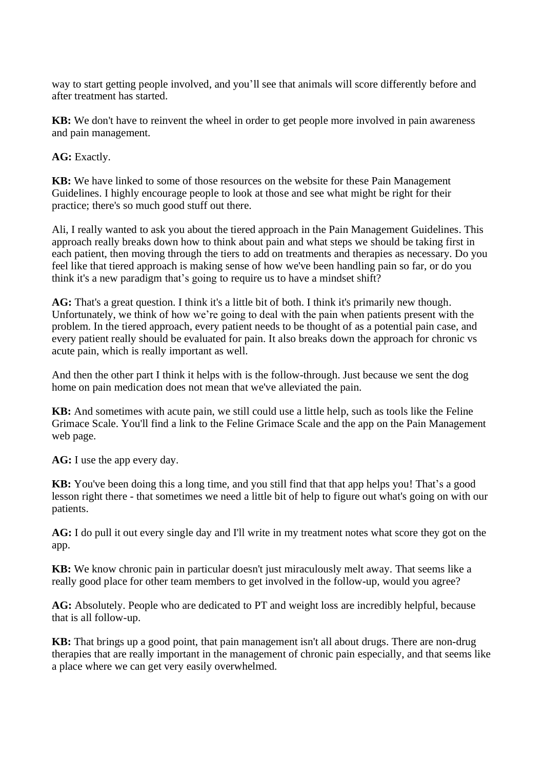way to start getting people involved, and you'll see that animals will score differently before and after treatment has started.

**KB:** We don't have to reinvent the wheel in order to get people more involved in pain awareness and pain management.

**AG:** Exactly.

**KB:** We have linked to some of those resources on the website for these Pain Management Guidelines. I highly encourage people to look at those and see what might be right for their practice; there's so much good stuff out there.

Ali, I really wanted to ask you about the tiered approach in the Pain Management Guidelines. This approach really breaks down how to think about pain and what steps we should be taking first in each patient, then moving through the tiers to add on treatments and therapies as necessary. Do you feel like that tiered approach is making sense of how we've been handling pain so far, or do you think it's a new paradigm that's going to require us to have a mindset shift?

**AG:** That's a great question. I think it's a little bit of both. I think it's primarily new though. Unfortunately, we think of how we're going to deal with the pain when patients present with the problem. In the tiered approach, every patient needs to be thought of as a potential pain case, and every patient really should be evaluated for pain. It also breaks down the approach for chronic vs acute pain, which is really important as well.

And then the other part I think it helps with is the follow-through. Just because we sent the dog home on pain medication does not mean that we've alleviated the pain.

**KB:** And sometimes with acute pain, we still could use a little help, such as tools like the Feline Grimace Scale. You'll find a link to the Feline Grimace Scale and the app on the Pain Management web page.

**AG:** I use the app every day.

**KB:** You've been doing this a long time, and you still find that that app helps you! That's a good lesson right there - that sometimes we need a little bit of help to figure out what's going on with our patients.

**AG:** I do pull it out every single day and I'll write in my treatment notes what score they got on the app.

**KB:** We know chronic pain in particular doesn't just miraculously melt away. That seems like a really good place for other team members to get involved in the follow-up, would you agree?

**AG:** Absolutely. People who are dedicated to PT and weight loss are incredibly helpful, because that is all follow-up.

**KB:** That brings up a good point, that pain management isn't all about drugs. There are non-drug therapies that are really important in the management of chronic pain especially, and that seems like a place where we can get very easily overwhelmed.